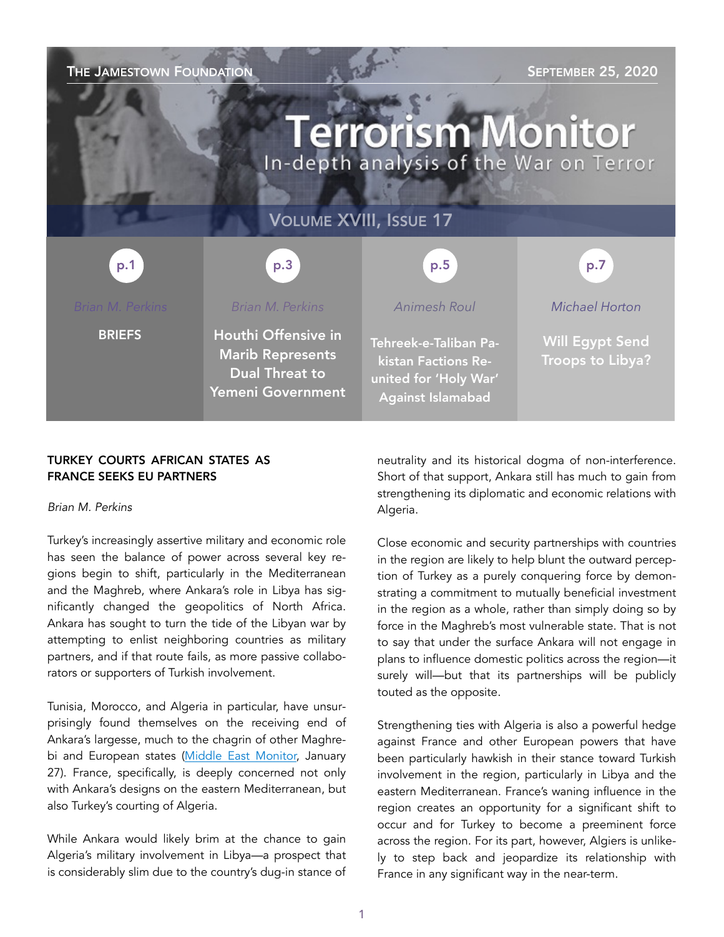| THE JAMESTOWN FOUNDATION<br><b>SEPTEMBER 25, 2020</b><br><b>Terrorism Monitor</b><br>In-depth analysis of the War on Terror |                                                                                              |                                                                                                   |                                            |
|-----------------------------------------------------------------------------------------------------------------------------|----------------------------------------------------------------------------------------------|---------------------------------------------------------------------------------------------------|--------------------------------------------|
| <b>VOLUME XVIII, ISSUE 17</b>                                                                                               |                                                                                              |                                                                                                   |                                            |
| p.1                                                                                                                         | p.3                                                                                          | p.5                                                                                               | p.7                                        |
| <b>Brian M. Perkins</b>                                                                                                     | Brian M. Perkins                                                                             | <b>Animesh Roul</b>                                                                               | Michael Horton                             |
| <b>BRIEFS</b>                                                                                                               | Houthi Offensive in<br><b>Marib Represents</b><br><b>Dual Threat to</b><br>Yemeni Government | Tehreek-e-Taliban Pa-<br>kistan Factions Re-<br>united for 'Holy War'<br><b>Against Islamabad</b> | <b>Will Egypt Send</b><br>Troops to Libya? |

## TURKEY COURTS AFRICAN STATES AS FRANCE SEEKS EU PARTNERS

#### *Brian M. Perkins*

Turkey's increasingly assertive military and economic role has seen the balance of power across several key regions begin to shift, particularly in the Mediterranean and the Maghreb, where Ankara's role in Libya has significantly changed the geopolitics of North Africa. Ankara has sought to turn the tide of the Libyan war by attempting to enlist neighboring countries as military partners, and if that route fails, as more passive collaborators or supporters of Turkish involvement.

Tunisia, Morocco, and Algeria in particular, have unsurprisingly found themselves on the receiving end of Ankara's largesse, much to the chagrin of other Maghre-bi and European states [\(Middle East Monitor,](https://www.middleeastmonitor.com/20200127-algeria-says-turkish-presidents-visit-to-move-mutual-relations-into-strategic-level/) January 27). France, specifically, is deeply concerned not only with Ankara's designs on the eastern Mediterranean, but also Turkey's courting of Algeria.

While Ankara would likely brim at the chance to gain Algeria's military involvement in Libya—a prospect that is considerably slim due to the country's dug-in stance of neutrality and its historical dogma of non-interference. Short of that support, Ankara still has much to gain from strengthening its diplomatic and economic relations with Algeria.

Close economic and security partnerships with countries in the region are likely to help blunt the outward perception of Turkey as a purely conquering force by demonstrating a commitment to mutually beneficial investment in the region as a whole, rather than simply doing so by force in the Maghreb's most vulnerable state. That is not to say that under the surface Ankara will not engage in plans to influence domestic politics across the region—it surely will—but that its partnerships will be publicly touted as the opposite.

Strengthening ties with Algeria is also a powerful hedge against France and other European powers that have been particularly hawkish in their stance toward Turkish involvement in the region, particularly in Libya and the eastern Mediterranean. France's waning influence in the region creates an opportunity for a significant shift to occur and for Turkey to become a preeminent force across the region. For its part, however, Algiers is unlikely to step back and jeopardize its relationship with France in any significant way in the near-term.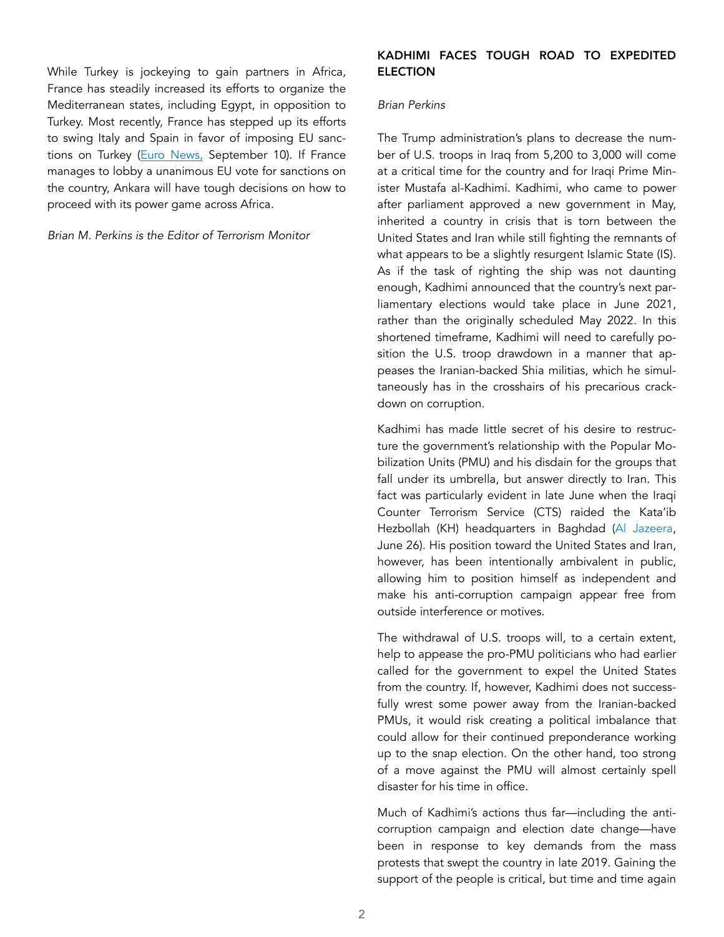While Turkey is jockeying to gain partners in Africa, France has steadily increased its efforts to organize the Mediterranean states, including Egypt, in opposition to Turkey. Most recently, France has stepped up its efforts to swing Italy and Spain in favor of imposing EU sanc-tions on Turkey ([Euro News,](https://www.euronews.com/2020/09/10/southern-eu-leaders-urge-turkey-to-end-unilateral-actions-in-mediterranean-sea-threaten-sa) September 10). If France manages to lobby a unanimous EU vote for sanctions on the country, Ankara will have tough decisions on how to proceed with its power game across Africa.

*Brian M. Perkins is the Editor of Terrorism Monitor* 

## KADHIMI FACES TOUGH ROAD TO EXPEDITED ELECTION

#### *Brian Perkins*

The Trump administration's plans to decrease the number of U.S. troops in Iraq from 5,200 to 3,000 will come at a critical time for the country and for Iraqi Prime Minister Mustafa al-Kadhimi. Kadhimi, who came to power after parliament approved a new government in May, inherited a country in crisis that is torn between the United States and Iran while still fighting the remnants of what appears to be a slightly resurgent Islamic State (IS). As if the task of righting the ship was not daunting enough, Kadhimi announced that the country's next parliamentary elections would take place in June 2021, rather than the originally scheduled May 2022. In this shortened timeframe, Kadhimi will need to carefully position the U.S. troop drawdown in a manner that appeases the Iranian-backed Shia militias, which he simultaneously has in the crosshairs of his precarious crackdown on corruption.

Kadhimi has made little secret of his desire to restructure the government's relationship with the Popular Mobilization Units (PMU) and his disdain for the groups that fall under its umbrella, but answer directly to Iran. This fact was particularly evident in late June when the Iraqi Counter Terrorism Service (CTS) raided the Kata'ib Hezbollah (KH) headquarters in Baghdad ([Al Jazeera](https://www.aljazeera.com/news/2020/06/iraqi-forces-raid-iran-backed-kataib-hezbollah-base-14-arrested-200626044827368.html), June 26). His position toward the United States and Iran, however, has been intentionally ambivalent in public, allowing him to position himself as independent and make his anti-corruption campaign appear free from outside interference or motives.

The withdrawal of U.S. troops will, to a certain extent, help to appease the pro-PMU politicians who had earlier called for the government to expel the United States from the country. If, however, Kadhimi does not successfully wrest some power away from the Iranian-backed PMUs, it would risk creating a political imbalance that could allow for their continued preponderance working up to the snap election. On the other hand, too strong of a move against the PMU will almost certainly spell disaster for his time in office.

Much of Kadhimi's actions thus far—including the anticorruption campaign and election date change—have been in response to key demands from the mass protests that swept the country in late 2019. Gaining the support of the people is critical, but time and time again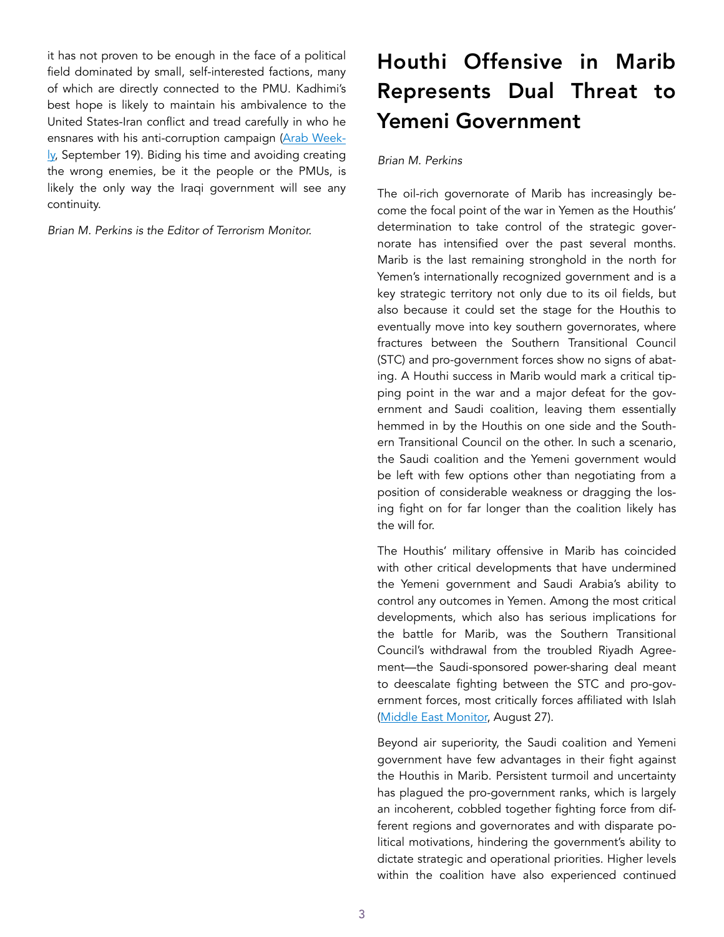it has not proven to be enough in the face of a political field dominated by small, self-interested factions, many of which are directly connected to the PMU. Kadhimi's best hope is likely to maintain his ambivalence to the United States-Iran conflict and tread carefully in who he ensnares with his anti-corruption campaign [\(Arab Week](https://thearabweekly.com/kadhimi-going-after-big-fish-anti-corruption-crackdown)[ly,](https://thearabweekly.com/kadhimi-going-after-big-fish-anti-corruption-crackdown) September 19). Biding his time and avoiding creating the wrong enemies, be it the people or the PMUs, is likely the only way the Iraqi government will see any continuity.

*Brian M. Perkins is the Editor of Terrorism Monitor.* 

# Houthi Offensive in Marib Represents Dual Threat to Yemeni Government

#### *Brian M. Perkins*

The oil-rich governorate of Marib has increasingly become the focal point of the war in Yemen as the Houthis' determination to take control of the strategic governorate has intensified over the past several months. Marib is the last remaining stronghold in the north for Yemen's internationally recognized government and is a key strategic territory not only due to its oil fields, but also because it could set the stage for the Houthis to eventually move into key southern governorates, where fractures between the Southern Transitional Council (STC) and pro-government forces show no signs of abating. A Houthi success in Marib would mark a critical tipping point in the war and a major defeat for the government and Saudi coalition, leaving them essentially hemmed in by the Houthis on one side and the Southern Transitional Council on the other. In such a scenario, the Saudi coalition and the Yemeni government would be left with few options other than negotiating from a position of considerable weakness or dragging the losing fight on for far longer than the coalition likely has the will for.

The Houthis' military offensive in Marib has coincided with other critical developments that have undermined the Yemeni government and Saudi Arabia's ability to control any outcomes in Yemen. Among the most critical developments, which also has serious implications for the battle for Marib, was the Southern Transitional Council's withdrawal from the troubled Riyadh Agreement—the Saudi-sponsored power-sharing deal meant to deescalate fighting between the STC and pro-government forces, most critically forces affiliated with Islah ([Middle East Monitor,](https://www.middleeastmonitor.com/20200827-yemen-southern-separatists-withdraw-from-riyadh-agreement-talks/) August 27).

Beyond air superiority, the Saudi coalition and Yemeni government have few advantages in their fight against the Houthis in Marib. Persistent turmoil and uncertainty has plagued the pro-government ranks, which is largely an incoherent, cobbled together fighting force from different regions and governorates and with disparate political motivations, hindering the government's ability to dictate strategic and operational priorities. Higher levels within the coalition have also experienced continued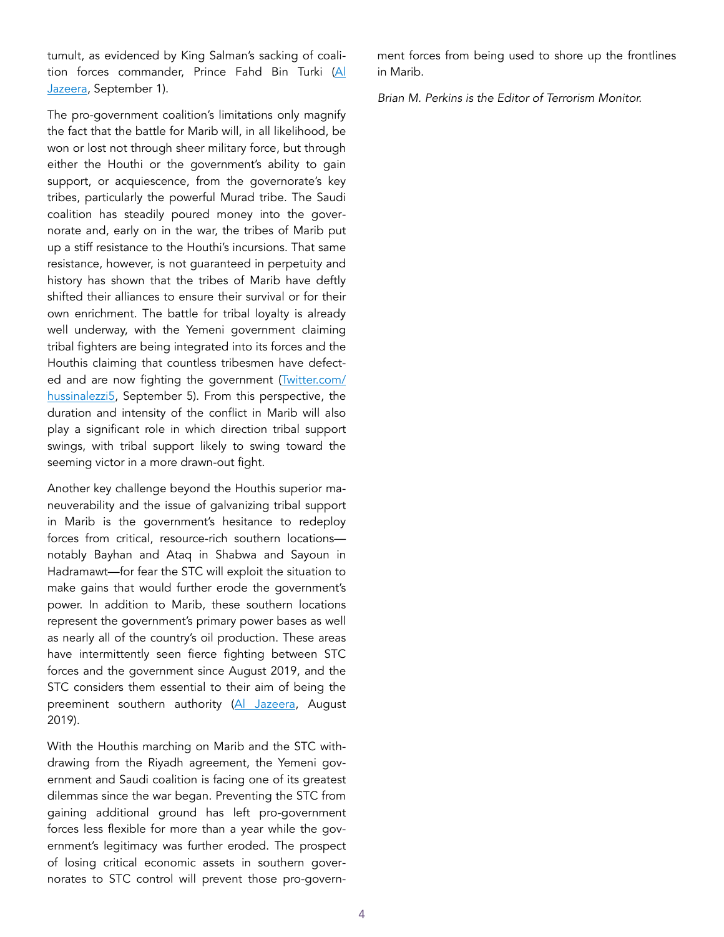tumult, as evidenced by King Salman's sacking of coalition forces commander, Prince Fahd Bin Turki [\(Al](https://www.aljazeera.com/news/2020/09/01/saudi-king-sacks-commander-of-yemen-forces-over-corruption-claims/)  [Jazeera,](https://www.aljazeera.com/news/2020/09/01/saudi-king-sacks-commander-of-yemen-forces-over-corruption-claims/) September 1).

The pro-government coalition's limitations only magnify the fact that the battle for Marib will, in all likelihood, be won or lost not through sheer military force, but through either the Houthi or the government's ability to gain support, or acquiescence, from the governorate's key tribes, particularly the powerful Murad tribe. The Saudi coalition has steadily poured money into the governorate and, early on in the war, the tribes of Marib put up a stiff resistance to the Houthi's incursions. That same resistance, however, is not guaranteed in perpetuity and history has shown that the tribes of Marib have deftly shifted their alliances to ensure their survival or for their own enrichment. The battle for tribal loyalty is already well underway, with the Yemeni government claiming tribal fighters are being integrated into its forces and the Houthis claiming that countless tribesmen have defected and are now fighting the government [\(Twitter.com/](https://twitter.com/hussinalezzi5/status/1302380558966837248?s=20) [hussinalezzi5](https://twitter.com/hussinalezzi5/status/1302380558966837248?s=20), September 5). From this perspective, the duration and intensity of the conflict in Marib will also play a significant role in which direction tribal support swings, with tribal support likely to swing toward the seeming victor in a more drawn-out fight.

Another key challenge beyond the Houthis superior maneuverability and the issue of galvanizing tribal support in Marib is the government's hesitance to redeploy forces from critical, resource-rich southern locations notably Bayhan and Ataq in Shabwa and Sayoun in Hadramawt—for fear the STC will exploit the situation to make gains that would further erode the government's power. In addition to Marib, these southern locations represent the government's primary power bases as well as nearly all of the country's oil production. These areas have intermittently seen fierce fighting between STC forces and the government since August 2019, and the STC considers them essential to their aim of being the preeminent southern authority [\(Al Jazeera,](https://www.aljazeera.com/news/2019/08/23/yemeni-government-forces-take-control-of-ataq-after-clashes/) August 2019).

With the Houthis marching on Marib and the STC withdrawing from the Riyadh agreement, the Yemeni government and Saudi coalition is facing one of its greatest dilemmas since the war began. Preventing the STC from gaining additional ground has left pro-government forces less flexible for more than a year while the government's legitimacy was further eroded. The prospect of losing critical economic assets in southern governorates to STC control will prevent those pro-government forces from being used to shore up the frontlines in Marib.

*Brian M. Perkins is the Editor of Terrorism Monitor.*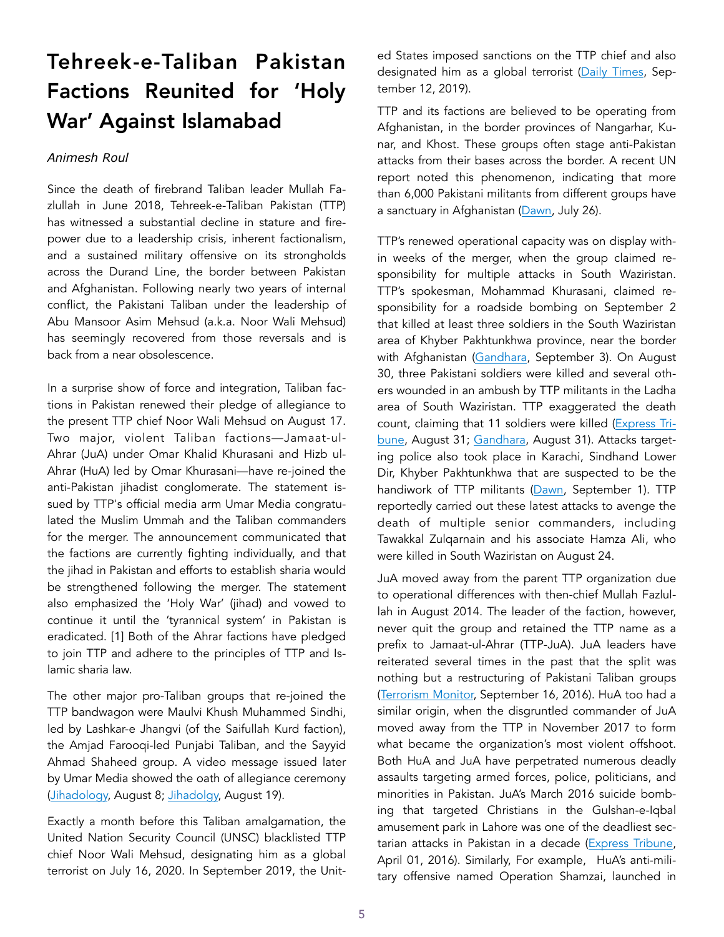# Tehreek-e-Taliban Pakistan Factions Reunited for 'Holy War' Against Islamabad

#### *Animesh Roul*

Since the death of firebrand Taliban leader Mullah Fazlullah in June 2018, Tehreek-e-Taliban Pakistan (TTP) has witnessed a substantial decline in stature and firepower due to a leadership crisis, inherent factionalism, and a sustained military offensive on its strongholds across the Durand Line, the border between Pakistan and Afghanistan. Following nearly two years of internal conflict, the Pakistani Taliban under the leadership of Abu Mansoor Asim Mehsud (a.k.a. Noor Wali Mehsud) has seemingly recovered from those reversals and is back from a near obsolescence.

In a surprise show of force and integration, Taliban factions in Pakistan renewed their pledge of allegiance to the present TTP chief Noor Wali Mehsud on August 17. Two major, violent Taliban factions—Jamaat-ul-Ahrar (JuA) under Omar Khalid Khurasani and Hizb ul-Ahrar (HuA) led by Omar Khurasani—have re-joined the anti-Pakistan jihadist conglomerate. The statement issued by TTP's official media arm Umar Media congratulated the Muslim Ummah and the Taliban commanders for the merger. The announcement communicated that the factions are currently fighting individually, and that the jihad in Pakistan and efforts to establish sharia would be strengthened following the merger. The statement also emphasized the 'Holy War' (jihad) and vowed to continue it until the 'tyrannical system' in Pakistan is eradicated. [1] Both of the Ahrar factions have pledged to join TTP and adhere to the principles of TTP and Islamic sharia law.

The other major pro-Taliban groups that re-joined the TTP bandwagon were Maulvi Khush Muhammed Sindhi, led by Lashkar-e Jhangvi (of the Saifullah Kurd faction), the Amjad Farooqi-led Punjabi Taliban, and the Sayyid Ahmad Shaheed group. A video message issued later by Umar Media showed the oath of allegiance ceremony ([Jihadology,](https://jihadology.net/wp-content/uploads/_pda/2020/08/Te) August 8; [Jihadolgy,](https://www.jihadology.net/2020/08/19/new-video-message-from-the-te) August 19).

Exactly a month before this Taliban amalgamation, the United Nation Security Council (UNSC) blacklisted TTP chief Noor Wali Mehsud, designating him as a global terrorist on July 16, 2020. In September 2019, the United States imposed sanctions on the TTP chief and also designated him as a global terrorist ([Daily Times](https://dailytimes.com.pk/463882/us-designates-ttp-chief-as-global-terrorist/), September 12, 2019).

TTP and its factions are believed to be operating from Afghanistan, in the border provinces of Nangarhar, Kunar, and Khost. These groups often stage anti-Pakistan attacks from their bases across the border. A recent UN report noted this phenomenon, indicating that more than 6,000 Pakistani militants from different groups have a sanctuary in Afghanistan [\(Dawn,](https://www.dawn.com/news/1571172) July 26).

TTP's renewed operational capacity was on display within weeks of the merger, when the group claimed responsibility for multiple attacks in South Waziristan. TTP's spokesman, Mohammad Khurasani, claimed responsibility for a roadside bombing on September 2 that killed at least three soldiers in the South Waziristan area of Khyber Pakhtunkhwa province, near the border with Afghanistan ([Gandhara,](https://gandhara.rferl.org/a/three-soldiers-killed-in-roadside-bombing-in-northwestern-pakistan/30820159.html) September 3). On August 30, three Pakistani soldiers were killed and several others wounded in an ambush by TTP militants in the Ladha area of South Waziristan. TTP exaggerated the death count, claiming that 11 soldiers were killed [\(Express Tri](https://tribune.com.pk/story/2261859/three-soldiers-martyred-in-south-waziristan-operation)[bune](https://tribune.com.pk/story/2261859/three-soldiers-martyred-in-south-waziristan-operation), August 31; [Gandhara,](https://gandhara.rferl.org/a/pakistani-soldiers-killed-in-militant-attack-in-northwest/30812487.html) August 31). Attacks targeting police also took place in Karachi, Sindhand Lower Dir, Khyber Pakhtunkhwa that are suspected to be the handiwork of TTP militants [\(Dawn,](https://www.dawn.com/news/1577264) September 1). TTP reportedly carried out these latest attacks to avenge the death of multiple senior commanders, including Tawakkal Zulqarnain and his associate Hamza Ali, who were killed in South Waziristan on August 24.

JuA moved away from the parent TTP organization due to operational differences with then-chief Mullah Fazlullah in August 2014. The leader of the faction, however, never quit the group and retained the TTP name as a prefix to Jamaat-ul-Ahrar (TTP-JuA). JuA leaders have reiterated several times in the past that the split was nothing but a restructuring of Pakistani Taliban groups ([Terrorism Monitor,](https://jamestown.org/program/pakistans-jamaat-ul-ahrar-a-violent-domestic-threat/) September 16, 2016). HuA too had a similar origin, when the disgruntled commander of JuA moved away from the TTP in November 2017 to form what became the organization's most violent offshoot. Both HuA and JuA have perpetrated numerous deadly assaults targeting armed forces, police, politicians, and minorities in Pakistan. JuA's March 2016 suicide bombing that targeted Christians in the Gulshan-e-Iqbal amusement park in Lahore was one of the deadliest sectarian attacks in Pakistan in a decade ([Express Tribune](https://tribune.com.pk/story/1077130/lahore-bombing-what-is-jamaat-ul-ahrar), April 01, 2016). Similarly, For example, HuA's anti-military offensive named Operation Shamzai, launched in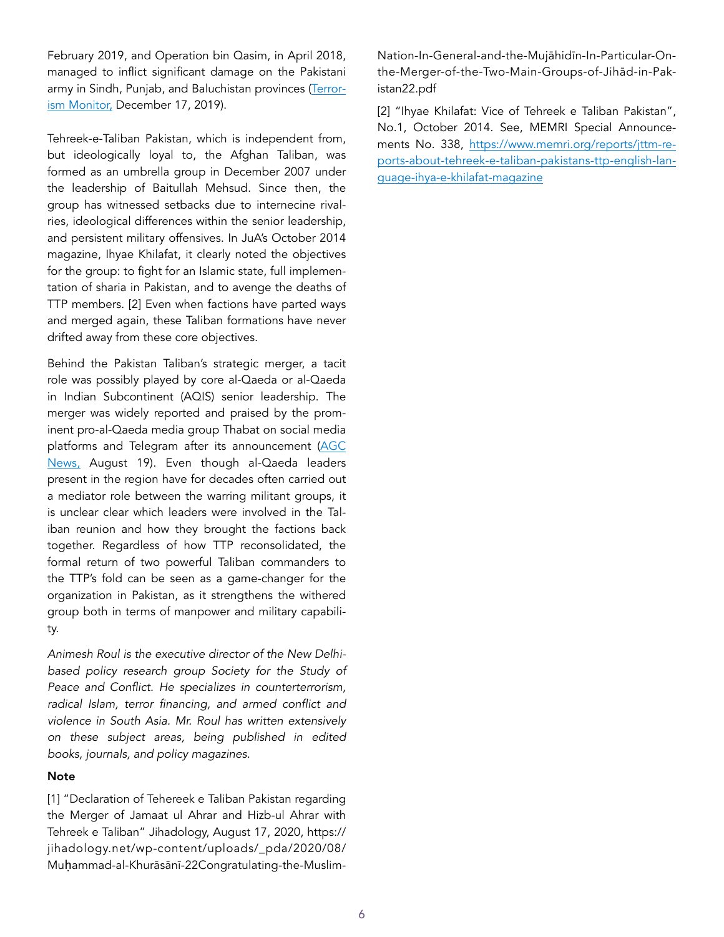February 2019, and Operation bin Qasim, in April 2018, managed to inflict significant damage on the Pakistani army in Sindh, Punjab, and Baluchistan provinces [\(Terror](https://jamestown.org/program/hizb-ul-ahrar-pakistans-cross-border-taliban-problem-remains-critical/)[ism Monitor,](https://jamestown.org/program/hizb-ul-ahrar-pakistans-cross-border-taliban-problem-remains-critical/) December 17, 2019).

Tehreek-e-Taliban Pakistan, which is independent from, but ideologically loyal to, the Afghan Taliban, was formed as an umbrella group in December 2007 under the leadership of Baitullah Mehsud. Since then, the group has witnessed setbacks due to internecine rivalries, ideological differences within the senior leadership, and persistent military offensives. In JuA's October 2014 magazine, Ihyae Khilafat, it clearly noted the objectives for the group: to fight for an Islamic state, full implementation of sharia in Pakistan, and to avenge the deaths of TTP members. [2] Even when factions have parted ways and merged again, these Taliban formations have never drifted away from these core objectives.

Behind the Pakistan Taliban's strategic merger, a tacit role was possibly played by core al-Qaeda or al-Qaeda in Indian Subcontinent (AQIS) senior leadership. The merger was widely reported and praised by the prominent pro-al-Qaeda media group Thabat on social media platforms and Telegram after its announcement (AGC [News](http://www.agcnews.eu/pakistan-nuova-era-per-il-jihad-nel-subcontinente-indiano/), August 19). Even though al-Qaeda leaders present in the region have for decades often carried out a mediator role between the warring militant groups, it is unclear clear which leaders were involved in the Taliban reunion and how they brought the factions back together. Regardless of how TTP reconsolidated, the formal return of two powerful Taliban commanders to the TTP's fold can be seen as a game-changer for the organization in Pakistan, as it strengthens the withered group both in terms of manpower and military capability.

*Animesh Roul is the executive director of the New Delhibased policy research group [Society for the Study of](http://www.sspconline.org/)  [Peace and Conflict](http://www.sspconline.org/). He specializes in counterterrorism, radical Islam, terror financing, and armed conflict and violence in South Asia. Mr. Roul has written extensively on these subject areas, being published in edited books, journals, and policy magazines.* 

#### **Note**

[1] "Declaration of Tehereek e Taliban Pakistan regarding the Merger of Jamaat ul Ahrar and Hizb-ul Ahrar with Tehreek e Taliban" Jihadology, August 17, 2020, https:// jihadology.net/wp-content/uploads/\_pda/2020/08/ Muḥammad-al-Khurāsānī-22Congratulating-the-MuslimNation-In-General-and-the-Mujāhidīn-In-Particular-Onthe-Merger-of-the-Two-Main-Groups-of-Jihād-in-Pakistan22.pdf

[2] "Ihyae Khilafat: Vice of Tehreek e Taliban Pakistan", No.1, October 2014. See, MEMRI Special Announcements No. 338, https://www.memri.org/reports/jttm-reports-about-tehreek-e-taliban-pakistans-ttp-english-language-ihya-e-khilafat-magazine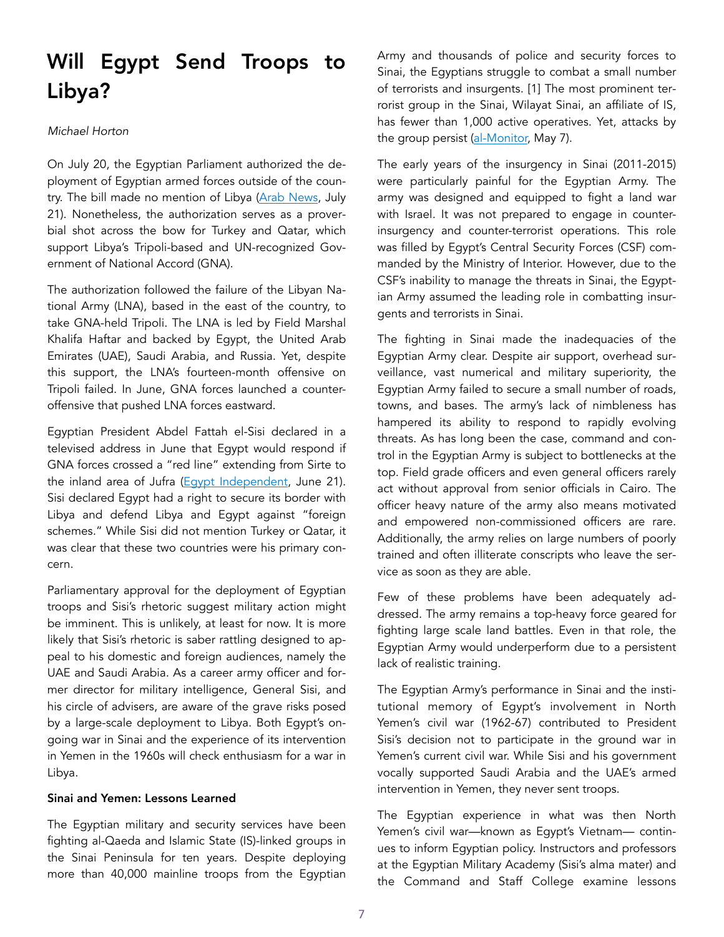## Will Egypt Send Troops to Libya?

#### *Michael Horton*

On July 20, the Egyptian Parliament authorized the deployment of Egyptian armed forces outside of the country. The bill made no mention of Libya [\(Arab News,](https://www.arabnews.com/node/1707321/middle-east) July 21). Nonetheless, the authorization serves as a proverbial shot across the bow for Turkey and Qatar, which support Libya's Tripoli-based and UN-recognized Government of National Accord (GNA).

The authorization followed the failure of the Libyan National Army (LNA), based in the east of the country, to take GNA-held Tripoli. The LNA is led by Field Marshal Khalifa Haftar and backed by Egypt, the United Arab Emirates (UAE), Saudi Arabia, and Russia. Yet, despite this support, the LNA's fourteen-month offensive on Tripoli failed. In June, GNA forces launched a counteroffensive that pushed LNA forces eastward.

Egyptian President Abdel Fattah el-Sisi declared in a televised address in June that Egypt would respond if GNA forces crossed a "red line" extending from Sirte to the inland area of Jufra [\(Egypt Independent](https://egyptindependent.com/egyptian-military-intervention-in-libya-now-has-international-legitimacy-sisi/), June 21). Sisi declared Egypt had a right to secure its border with Libya and defend Libya and Egypt against "foreign schemes." While Sisi did not mention Turkey or Qatar, it was clear that these two countries were his primary concern.

Parliamentary approval for the deployment of Egyptian troops and Sisi's rhetoric suggest military action might be imminent. This is unlikely, at least for now. It is more likely that Sisi's rhetoric is saber rattling designed to appeal to his domestic and foreign audiences, namely the UAE and Saudi Arabia. As a career army officer and former director for military intelligence, General Sisi, and his circle of advisers, are aware of the grave risks posed by a large-scale deployment to Libya. Both Egypt's ongoing war in Sinai and the experience of its intervention in Yemen in the 1960s will check enthusiasm for a war in Libya.

### Sinai and Yemen: Lessons Learned

The Egyptian military and security services have been fighting al-Qaeda and Islamic State (IS)-linked groups in the Sinai Peninsula for ten years. Despite deploying more than 40,000 mainline troops from the Egyptian Army and thousands of police and security forces to Sinai, the Egyptians struggle to combat a small number of terrorists and insurgents. [1] The most prominent terrorist group in the Sinai, Wilayat Sinai, an affiliate of IS, has fewer than 1,000 active operatives. Yet, attacks by the group persist ([al-Monitor,](https://www.al-monitor.com/pulse/originals/2020/05/egypt-army-sinai-terrorist-attacks-ramadan.html) May 7).

The early years of the insurgency in Sinai (2011-2015) were particularly painful for the Egyptian Army. The army was designed and equipped to fight a land war with Israel. It was not prepared to engage in counterinsurgency and counter-terrorist operations. This role was filled by Egypt's Central Security Forces (CSF) commanded by the Ministry of Interior. However, due to the CSF's inability to manage the threats in Sinai, the Egyptian Army assumed the leading role in combatting insurgents and terrorists in Sinai.

The fighting in Sinai made the inadequacies of the Egyptian Army clear. Despite air support, overhead surveillance, vast numerical and military superiority, the Egyptian Army failed to secure a small number of roads, towns, and bases. The army's lack of nimbleness has hampered its ability to respond to rapidly evolving threats. As has long been the case, command and control in the Egyptian Army is subject to bottlenecks at the top. Field grade officers and even general officers rarely act without approval from senior officials in Cairo. The officer heavy nature of the army also means motivated and empowered non-commissioned officers are rare. Additionally, the army relies on large numbers of poorly trained and often illiterate conscripts who leave the service as soon as they are able.

Few of these problems have been adequately addressed. The army remains a top-heavy force geared for fighting large scale land battles. Even in that role, the Egyptian Army would underperform due to a persistent lack of realistic training.

The Egyptian Army's performance in Sinai and the institutional memory of Egypt's involvement in North Yemen's civil war (1962-67) contributed to President Sisi's decision not to participate in the ground war in Yemen's current civil war. While Sisi and his government vocally supported Saudi Arabia and the UAE's armed intervention in Yemen, they never sent troops.

The Egyptian experience in what was then North Yemen's civil war—known as Egypt's Vietnam— continues to inform Egyptian policy. Instructors and professors at the Egyptian Military Academy (Sisi's alma mater) and the Command and Staff College examine lessons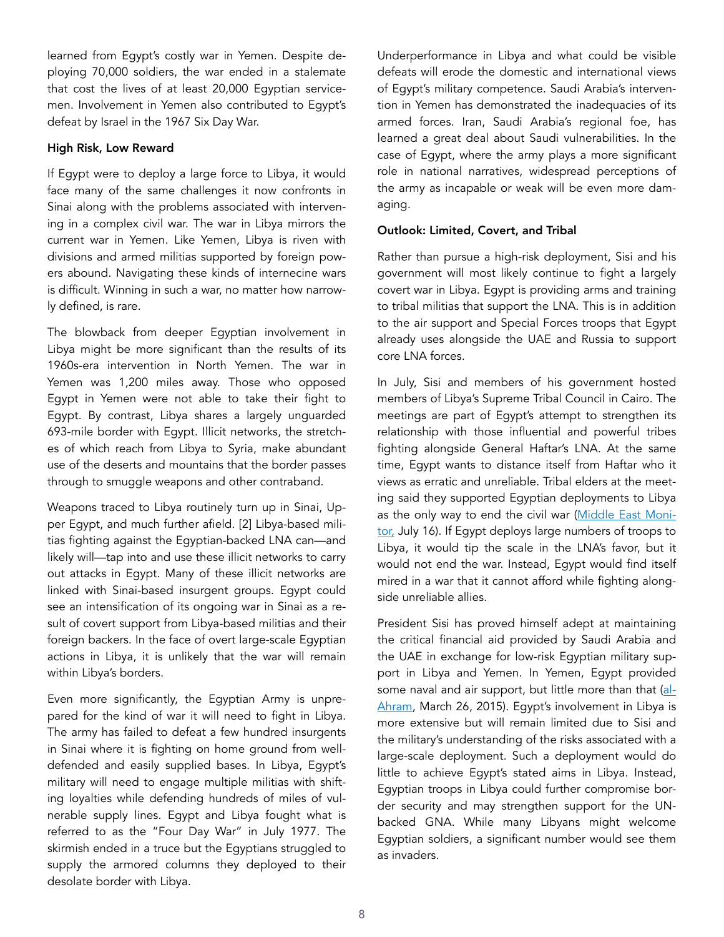learned from Egypt's costly war in Yemen. Despite deploying 70,000 soldiers, the war ended in a stalemate that cost the lives of at least 20,000 Egyptian servicemen. Involvement in Yemen also contributed to Egypt's defeat by Israel in the 1967 Six Day War.

#### High Risk, Low Reward

If Egypt were to deploy a large force to Libya, it would face many of the same challenges it now confronts in Sinai along with the problems associated with intervening in a complex civil war. The war in Libya mirrors the current war in Yemen. Like Yemen, Libya is riven with divisions and armed militias supported by foreign powers abound. Navigating these kinds of internecine wars is difficult. Winning in such a war, no matter how narrowly defined, is rare.

The blowback from deeper Egyptian involvement in Libya might be more significant than the results of its 1960s-era intervention in North Yemen. The war in Yemen was 1,200 miles away. Those who opposed Egypt in Yemen were not able to take their fight to Egypt. By contrast, Libya shares a largely unguarded 693-mile border with Egypt. Illicit networks, the stretches of which reach from Libya to Syria, make abundant use of the deserts and mountains that the border passes through to smuggle weapons and other contraband.

Weapons traced to Libya routinely turn up in Sinai, Upper Egypt, and much further afield. [2] Libya-based militias fighting against the Egyptian-backed LNA can—and likely will—tap into and use these illicit networks to carry out attacks in Egypt. Many of these illicit networks are linked with Sinai-based insurgent groups. Egypt could see an intensification of its ongoing war in Sinai as a result of covert support from Libya-based militias and their foreign backers. In the face of overt large-scale Egyptian actions in Libya, it is unlikely that the war will remain within Libya's borders.

Even more significantly, the Egyptian Army is unprepared for the kind of war it will need to fight in Libya. The army has failed to defeat a few hundred insurgents in Sinai where it is fighting on home ground from welldefended and easily supplied bases. In Libya, Egypt's military will need to engage multiple militias with shifting loyalties while defending hundreds of miles of vulnerable supply lines. Egypt and Libya fought what is referred to as the "Four Day War" in July 1977. The skirmish ended in a truce but the Egyptians struggled to supply the armored columns they deployed to their desolate border with Libya.

Underperformance in Libya and what could be visible defeats will erode the domestic and international views of Egypt's military competence. Saudi Arabia's intervention in Yemen has demonstrated the inadequacies of its armed forces. Iran, Saudi Arabia's regional foe, has learned a great deal about Saudi vulnerabilities. In the case of Egypt, where the army plays a more significant role in national narratives, widespread perceptions of the army as incapable or weak will be even more damaging.

#### Outlook: Limited, Covert, and Tribal

Rather than pursue a high-risk deployment, Sisi and his government will most likely continue to fight a largely covert war in Libya. Egypt is providing arms and training to tribal militias that support the LNA. This is in addition to the air support and Special Forces troops that Egypt already uses alongside the UAE and Russia to support core LNA forces.

In July, Sisi and members of his government hosted members of Libya's Supreme Tribal Council in Cairo. The meetings are part of Egypt's attempt to strengthen its relationship with those influential and powerful tribes fighting alongside General Haftar's LNA. At the same time, Egypt wants to distance itself from Haftar who it views as erratic and unreliable. Tribal elders at the meeting said they supported Egyptian deployments to Libya as the only way to end the civil war [\(Middle East Moni](https://www.middleeastmonitor.com/20200716-libya-pro-haftar-tribal-leaders-to-meet-with-egypts-sisi-in-cairo/)[tor,](https://www.middleeastmonitor.com/20200716-libya-pro-haftar-tribal-leaders-to-meet-with-egypts-sisi-in-cairo/) July 16). If Egypt deploys large numbers of troops to Libya, it would tip the scale in the LNA's favor, but it would not end the war. Instead, Egypt would find itself mired in a war that it cannot afford while fighting alongside unreliable allies.

President Sisi has proved himself adept at maintaining the critical financial aid provided by Saudi Arabia and the UAE in exchange for low-risk Egyptian military support in Libya and Yemen. In Yemen, Egypt provided some naval and air support, but little more than that [\(al-](http://english.ahram.org.eg/NewsContent/1/64/126145/Egypt/Politics-/Four-Egyptian-warships-en-route-to-Gulf-of-Aden.aspx)[Ahram,](http://english.ahram.org.eg/NewsContent/1/64/126145/Egypt/Politics-/Four-Egyptian-warships-en-route-to-Gulf-of-Aden.aspx) March 26, 2015). Egypt's involvement in Libya is more extensive but will remain limited due to Sisi and the military's understanding of the risks associated with a large-scale deployment. Such a deployment would do little to achieve Egypt's stated aims in Libya. Instead, Egyptian troops in Libya could further compromise border security and may strengthen support for the UNbacked GNA. While many Libyans might welcome Egyptian soldiers, a significant number would see them as invaders.